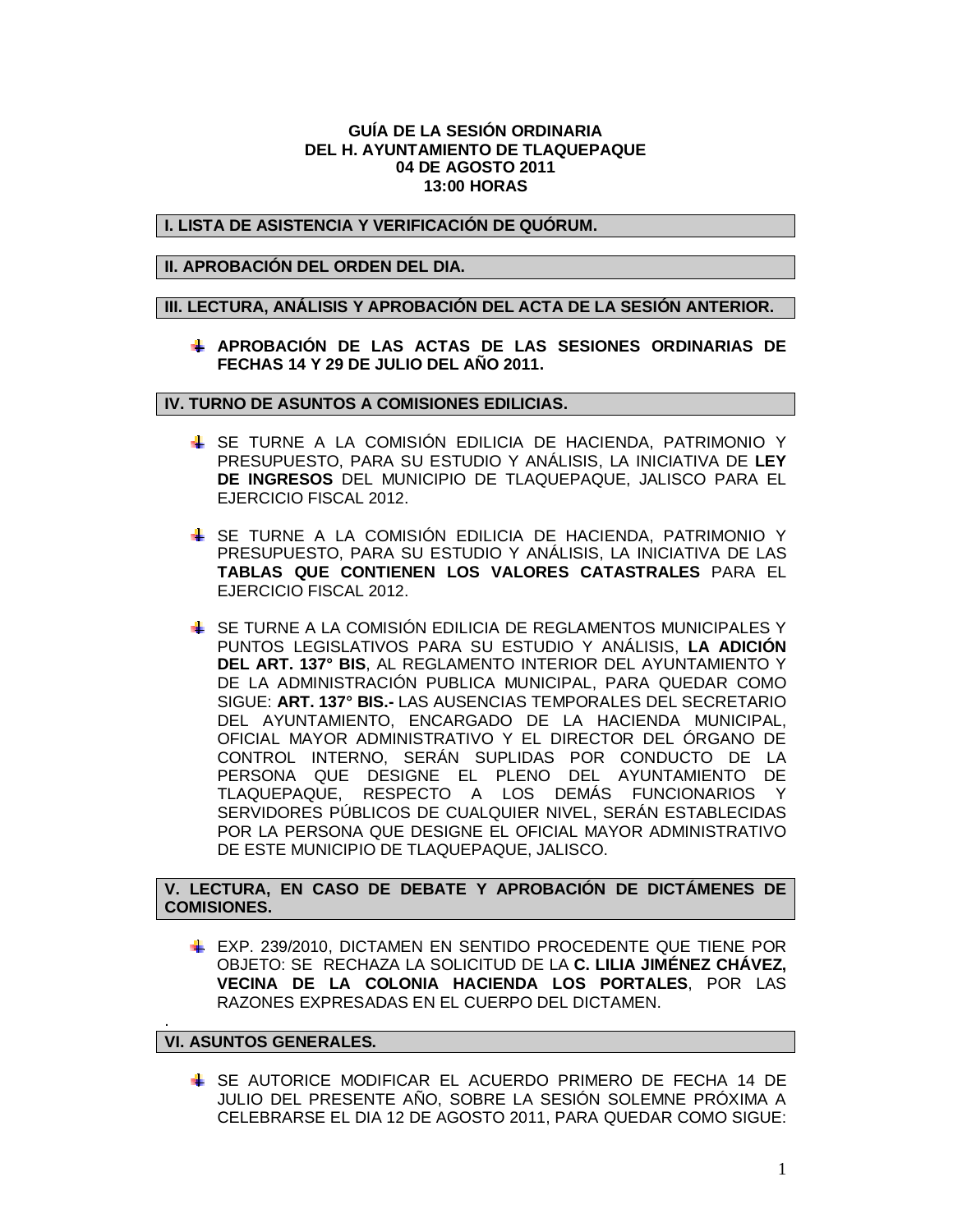### **GUÍA DE LA SESIÓN ORDINARIA DEL H. AYUNTAMIENTO DE TLAQUEPAQUE 04 DE AGOSTO 2011 13:00 HORAS**

# **I. LISTA DE ASISTENCIA Y VERIFICACIÓN DE QUÓRUM.**

# **II. APROBACIÓN DEL ORDEN DEL DIA.**

### **III. LECTURA, ANÁLISIS Y APROBACIÓN DEL ACTA DE LA SESIÓN ANTERIOR.**

**APROBACIÓN DE LAS ACTAS DE LAS SESIONES ORDINARIAS DE FECHAS 14 Y 29 DE JULIO DEL AÑO 2011.**

### **IV. TURNO DE ASUNTOS A COMISIONES EDILICIAS.**

- SE TURNE A LA COMISIÓN EDILICIA DE HACIENDA, PATRIMONIO Y PRESUPUESTO, PARA SU ESTUDIO Y ANÁLISIS, LA INICIATIVA DE **LEY DE INGRESOS** DEL MUNICIPIO DE TLAQUEPAQUE, JALISCO PARA EL EJERCICIO FISCAL 2012.
- SE TURNE A LA COMISIÓN EDILICIA DE HACIENDA, PATRIMONIO Y PRESUPUESTO, PARA SU ESTUDIO Y ANÁLISIS, LA INICIATIVA DE LAS **TABLAS QUE CONTIENEN LOS VALORES CATASTRALES** PARA EL EJERCICIO FISCAL 2012.
- SE TURNE A LA COMISIÓN EDILICIA DE REGLAMENTOS MUNICIPALES Y PUNTOS LEGISLATIVOS PARA SU ESTUDIO Y ANÁLISIS, **LA ADICIÓN DEL ART. 137° BIS**, AL REGLAMENTO INTERIOR DEL AYUNTAMIENTO Y DE LA ADMINISTRACIÓN PUBLICA MUNICIPAL, PARA QUEDAR COMO SIGUE: **ART. 137° BIS.-** LAS AUSENCIAS TEMPORALES DEL SECRETARIO DEL AYUNTAMIENTO, ENCARGADO DE LA HACIENDA MUNICIPAL, OFICIAL MAYOR ADMINISTRATIVO Y EL DIRECTOR DEL ÓRGANO DE CONTROL INTERNO, SERÁN SUPLIDAS POR CONDUCTO DE LA PERSONA QUE DESIGNE EL PLENO DEL AYUNTAMIENTO DE TLAQUEPAQUE, RESPECTO A LOS DEMÁS FUNCIONARIOS Y SERVIDORES PÚBLICOS DE CUALQUIER NIVEL, SERÁN ESTABLECIDAS POR LA PERSONA QUE DESIGNE EL OFICIAL MAYOR ADMINISTRATIVO DE ESTE MUNICIPIO DE TLAQUEPAQUE, JALISCO.

# **V. LECTURA, EN CASO DE DEBATE Y APROBACIÓN DE DICTÁMENES DE COMISIONES.**

EXP. 239/2010, DICTAMEN EN SENTIDO PROCEDENTE QUE TIENE POR OBJETO: SE RECHAZA LA SOLICITUD DE LA **C. LILIA JIMÉNEZ CHÁVEZ, VECINA DE LA COLONIA HACIENDA LOS PORTALES**, POR LAS RAZONES EXPRESADAS EN EL CUERPO DEL DICTAMEN.

### **VI. ASUNTOS GENERALES.**

.

SE AUTORICE MODIFICAR EL ACUERDO PRIMERO DE FECHA 14 DE JULIO DEL PRESENTE AÑO, SOBRE LA SESIÓN SOLEMNE PRÓXIMA A CELEBRARSE EL DIA 12 DE AGOSTO 2011, PARA QUEDAR COMO SIGUE: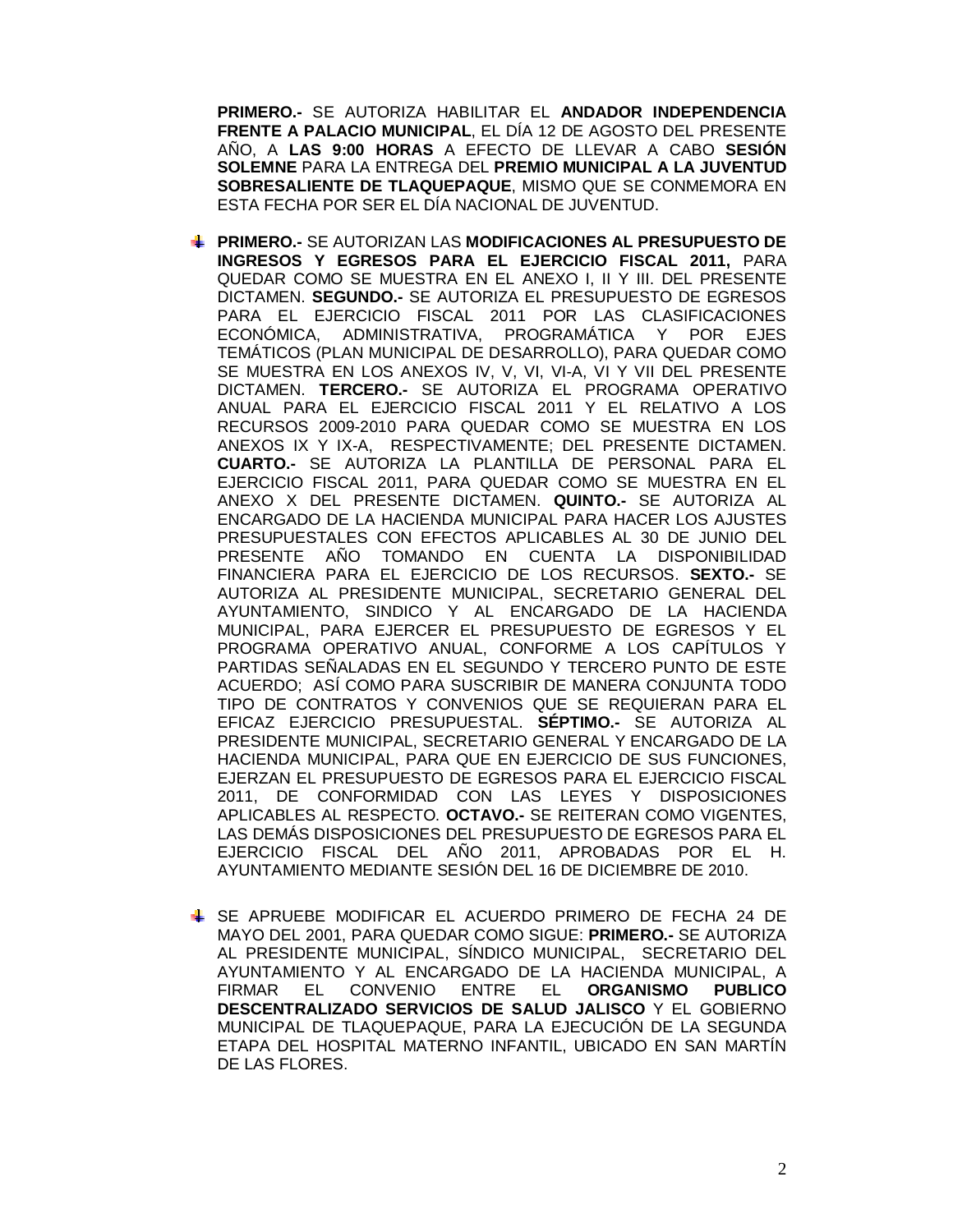**PRIMERO.-** SE AUTORIZA HABILITAR EL **ANDADOR INDEPENDENCIA FRENTE A PALACIO MUNICIPAL**, EL DÍA 12 DE AGOSTO DEL PRESENTE AÑO, A **LAS 9:00 HORAS** A EFECTO DE LLEVAR A CABO **SESIÓN SOLEMNE** PARA LA ENTREGA DEL **PREMIO MUNICIPAL A LA JUVENTUD SOBRESALIENTE DE TLAQUEPAQUE**, MISMO QUE SE CONMEMORA EN ESTA FECHA POR SER EL DÍA NACIONAL DE JUVENTUD.

- **PRIMERO.-** SE AUTORIZAN LAS **MODIFICACIONES AL PRESUPUESTO DE INGRESOS Y EGRESOS PARA EL EJERCICIO FISCAL 2011,** PARA QUEDAR COMO SE MUESTRA EN EL ANEXO I, II Y III. DEL PRESENTE DICTAMEN. **SEGUNDO.-** SE AUTORIZA EL PRESUPUESTO DE EGRESOS PARA EL EJERCICIO FISCAL 2011 POR LAS CLASIFICACIONES ECONÓMICA, ADMINISTRATIVA, PROGRAMÁTICA Y POR EJES TEMÁTICOS (PLAN MUNICIPAL DE DESARROLLO), PARA QUEDAR COMO SE MUESTRA EN LOS ANEXOS IV, V, VI, VI-A, VI Y VII DEL PRESENTE DICTAMEN. **TERCERO.-** SE AUTORIZA EL PROGRAMA OPERATIVO ANUAL PARA EL EJERCICIO FISCAL 2011 Y EL RELATIVO A LOS RECURSOS 2009-2010 PARA QUEDAR COMO SE MUESTRA EN LOS ANEXOS IX Y IX-A, RESPECTIVAMENTE; DEL PRESENTE DICTAMEN. **CUARTO.-** SE AUTORIZA LA PLANTILLA DE PERSONAL PARA EL EJERCICIO FISCAL 2011, PARA QUEDAR COMO SE MUESTRA EN EL ANEXO X DEL PRESENTE DICTAMEN. **QUINTO.-** SE AUTORIZA AL ENCARGADO DE LA HACIENDA MUNICIPAL PARA HACER LOS AJUSTES PRESUPUESTALES CON EFECTOS APLICABLES AL 30 DE JUNIO DEL PRESENTE AÑO TOMANDO EN CUENTA LA DISPONIBILIDAD FINANCIERA PARA EL EJERCICIO DE LOS RECURSOS. **SEXTO.-** SE AUTORIZA AL PRESIDENTE MUNICIPAL, SECRETARIO GENERAL DEL AYUNTAMIENTO, SINDICO Y AL ENCARGADO DE LA HACIENDA MUNICIPAL, PARA EJERCER EL PRESUPUESTO DE EGRESOS Y EL PROGRAMA OPERATIVO ANUAL, CONFORME A LOS CAPÍTULOS Y PARTIDAS SEÑALADAS EN EL SEGUNDO Y TERCERO PUNTO DE ESTE ACUERDO; ASÍ COMO PARA SUSCRIBIR DE MANERA CONJUNTA TODO TIPO DE CONTRATOS Y CONVENIOS QUE SE REQUIERAN PARA EL EFICAZ EJERCICIO PRESUPUESTAL. **SÉPTIMO.-** SE AUTORIZA AL PRESIDENTE MUNICIPAL, SECRETARIO GENERAL Y ENCARGADO DE LA HACIENDA MUNICIPAL, PARA QUE EN EJERCICIO DE SUS FUNCIONES, EJERZAN EL PRESUPUESTO DE EGRESOS PARA EL EJERCICIO FISCAL 2011, DE CONFORMIDAD CON LAS LEYES Y DISPOSICIONES APLICABLES AL RESPECTO. **OCTAVO.-** SE REITERAN COMO VIGENTES, LAS DEMÁS DISPOSICIONES DEL PRESUPUESTO DE EGRESOS PARA EL EJERCICIO FISCAL DEL AÑO 2011, APROBADAS POR EL H. AYUNTAMIENTO MEDIANTE SESIÓN DEL 16 DE DICIEMBRE DE 2010.
- SE APRUEBE MODIFICAR EL ACUERDO PRIMERO DE FECHA 24 DE MAYO DEL 2001, PARA QUEDAR COMO SIGUE: **PRIMERO.-** SE AUTORIZA AL PRESIDENTE MUNICIPAL, SÍNDICO MUNICIPAL, SECRETARIO DEL AYUNTAMIENTO Y AL ENCARGADO DE LA HACIENDA MUNICIPAL, A FIRMAR EL CONVENIO ENTRE EL **ORGANISMO PUBLICO DESCENTRALIZADO SERVICIOS DE SALUD JALISCO** Y EL GOBIERNO MUNICIPAL DE TLAQUEPAQUE, PARA LA EJECUCIÓN DE LA SEGUNDA ETAPA DEL HOSPITAL MATERNO INFANTIL, UBICADO EN SAN MARTÍN DE LAS FLORES.